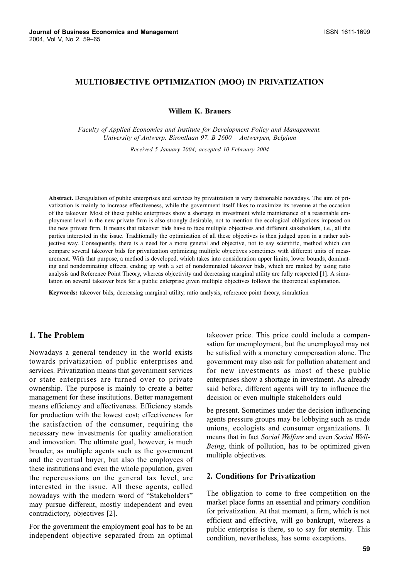## MULTIOBJECTIVE OPTIMIZATION (MOO) IN PRIVATIZATION

**Willem K. Brauers** 

Faculty of Applied Economics and Institute for Development Policy and Management. University of Antwerp. Birontlaan 97. B 2600 - Antwerpen, Belgium

Received 5 January 2004; accepted 10 February 2004

Abstract. Deregulation of public enterprises and services by privatization is very fashionable nowadays. The aim of privatization is mainly to increase effectiveness, while the government itself likes to maximize its revenue at the occasion of the takeover. Most of these public enterprises show a shortage in investment while maintenance of a reasonable employment level in the new private firm is also strongly desirable, not to mention the ecological obligations imposed on the new private firm. It means that takeover bids have to face multiple objectives and different stakeholders, i.e., all the parties interested in the issue. Traditionally the optimization of all these objectives is then judged upon in a rather subjective way. Consequently, there is a need for a more general and objective, not to say scientific, method which can compare several takeover bids for privatization optimizing multiple objectives sometimes with different units of measurement. With that purpose, a method is developed, which takes into consideration upper limits, lower bounds, dominating and nondominating effects, ending up with a set of nondominated takeover bids, which are ranked by using ratio analysis and Reference Point Theory, whereas objectivity and decreasing marginal utility are fully respected [1]. A simulation on several takeover bids for a public enterprise given multiple objectives follows the theoretical explanation.

Keywords: takeover bids, decreasing marginal utility, ratio analysis, reference point theory, simulation

## 1. The Problem

Nowadays a general tendency in the world exists towards privatization of public enterprises and services. Privatization means that government services or state enterprises are turned over to private ownership. The purpose is mainly to create a better management for these institutions. Better management means efficiency and effectiveness. Efficiency stands for production with the lowest cost; effectiveness for the satisfaction of the consumer, requiring the necessary new investments for quality amelioration and innovation. The ultimate goal, however, is much broader, as multiple agents such as the government and the eventual buyer, but also the employees of these institutions and even the whole population, given the repercussions on the general tax level, are interested in the issue. All these agents, called nowadays with the modern word of "Stakeholders" may pursue different, mostly independent and even contradictory, objectives [2].

For the government the employment goal has to be an independent objective separated from an optimal takeover price. This price could include a compensation for unemployment, but the unemployed may not be satisfied with a monetary compensation alone. The government may also ask for pollution abatement and for new investments as most of these public enterprises show a shortage in investment. As already said before, different agents will try to influence the decision or even multiple stakeholders ould

be present. Sometimes under the decision influencing agents pressure groups may be lobbying such as trade unions, ecologists and consumer organizations. It means that in fact Social Welfare and even Social Well-Being, think of pollution, has to be optimized given multiple objectives.

#### 2. Conditions for Privatization

The obligation to come to free competition on the market place forms an essential and primary condition for privatization. At that moment, a firm, which is not efficient and effective, will go bankrupt, whereas a public enterprise is there, so to say for eternity. This condition, nevertheless, has some exceptions.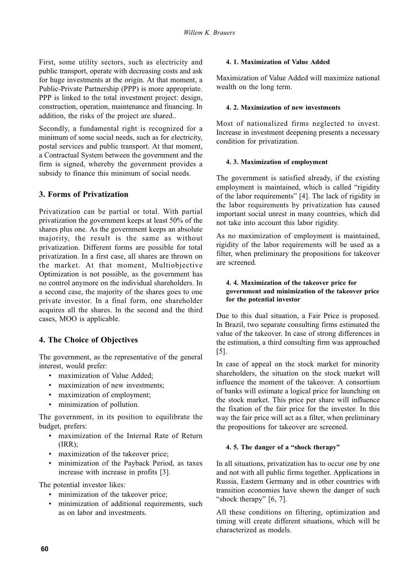First, some utility sectors, such as electricity and public transport, operate with decreasing costs and ask for huge investments at the origin. At that moment, a Public-Private Partnership (PPP) is more appropriate. PPP is linked to the total investment project: design, construction, operation, maintenance and financing. In addition, the risks of the project are shared...

Secondly, a fundamental right is recognized for a minimum of some social needs, such as for electricity, postal services and public transport. At that moment, a Contractual System between the government and the firm is signed, whereby the government provides a subsidy to finance this minimum of social needs.

# 3. Forms of Privatization

Privatization can be partial or total. With partial privatization the government keeps at least 50% of the shares plus one. As the government keeps an absolute majority, the result is the same as without privatization. Different forms are possible for total privatization. In a first case, all shares are thrown on the market. At that moment, Multiobjective Optimization is not possible, as the government has no control anymore on the individual shareholders. In a second case, the majority of the shares goes to one private investor. In a final form, one shareholder acquires all the shares. In the second and the third cases, MOO is applicable.

# 4. The Choice of Objectives

The government, as the representative of the general interest, would prefer:

- · maximization of Value Added;
- maximization of new investments;
- maximization of employment;
- minimization of pollution.

The government, in its position to equilibrate the budget, prefers:

- maximization of the Internal Rate of Return  $(IRR):$
- maximization of the takeover price;
- · minimization of the Payback Period, as taxes increase with increase in profits [3].

The potential investor likes:

- minimization of the takeover price;
- minimization of additional requirements, such as on labor and investments.

## 4.1. Maximization of Value Added

Maximization of Value Added will maximize national wealth on the long term.

## 4. 2. Maximization of new investments

Most of nationalized firms neglected to invest. Increase in investment deepening presents a necessary condition for privatization.

## 4.3. Maximization of employment

The government is satisfied already, if the existing employment is maintained, which is called "rigidity" of the labor requirements" [4]. The lack of rigidity in the labor requirements by privatization has caused important social unrest in many countries, which did not take into account this labor rigidity.

As no maximization of employment is maintained, rigidity of the labor requirements will be used as a filter, when preliminary the propositions for takeover are screened.

## 4. 4. Maximization of the takeover price for government and minimization of the takeover price for the potential investor

Due to this dual situation, a Fair Price is proposed. In Brazil, two separate consulting firms estimated the value of the takeover. In case of strong differences in the estimation, a third consulting firm was approached  $\lceil 5 \rceil$ .

In case of appeal on the stock market for minority shareholders, the situation on the stock market will influence the moment of the takeover. A consortium of banks will estimate a logical price for launching on the stock market. This price per share will influence the fixation of the fair price for the investor. In this way the fair price will act as a filter, when preliminary the propositions for takeover are screened.

## 4.5. The danger of a "shock therapy"

In all situations, privatization has to occur one by one and not with all public firms together. Applications in Russia, Eastern Germany and in other countries with transition economies have shown the danger of such "shock therapy"  $[6, 7]$ .

All these conditions on filtering, optimization and timing will create different situations, which will be characterized as models.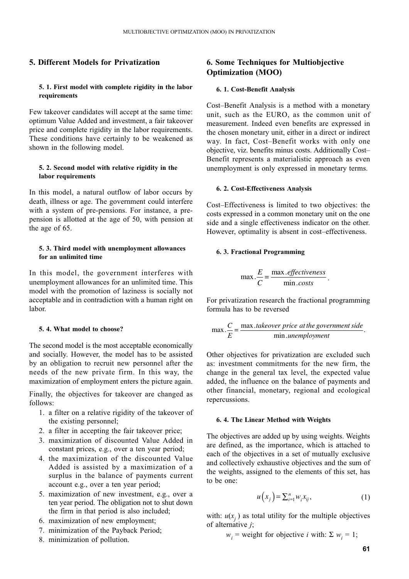## 5. Different Models for Privatization

## 5. 1. First model with complete rigidity in the labor requirements

Few takeover candidates will accept at the same time: optimum Value Added and investment, a fair takeover price and complete rigidity in the labor requirements. These conditions have certainly to be weakened as shown in the following model.

### 5. 2. Second model with relative rigidity in the labor requirements

In this model, a natural outflow of labor occurs by death, illness or age. The government could interfere with a system of pre-pensions. For instance, a prepension is allotted at the age of 50, with pension at the age of 65.

#### 5.3. Third model with unemployment allowances for an unlimited time

In this model, the government interferes with unemployment allowances for an unlimited time. This model with the promotion of laziness is socially not acceptable and in contradiction with a human right on labor.

## 5.4. What model to choose?

The second model is the most acceptable economically and socially. However, the model has to be assisted by an obligation to recruit new personnel after the needs of the new private firm. In this way, the maximization of employment enters the picture again.

Finally, the objectives for takeover are changed as follows:

- 1. a filter on a relative rigidity of the takeover of the existing personnel;
- 2. a filter in accepting the fair takeover price;
- 3. maximization of discounted Value Added in constant prices, e.g., over a ten year period;
- 4. the maximization of the discounted Value Added is assisted by a maximization of a surplus in the balance of payments current account e.g., over a ten year period;
- 5. maximization of new investment, e.g., over a ten year period. The obligation not to shut down the firm in that period is also included;
- 6. maximization of new employment;
- 7. minimization of the Payback Period;
- 8. minimization of pollution.

# **6. Some Techniques for Multiobjective Optimization (MOO)**

### 6. 1. Cost-Benefit Analysis

Cost-Benefit Analysis is a method with a monetary unit, such as the EURO, as the common unit of measurement. Indeed even benefits are expressed in the chosen monetary unit, either in a direct or indirect way. In fact, Cost-Benefit works with only one objective, viz. benefits minus costs. Additionally Cost-Benefit represents a materialistic approach as even unemployment is only expressed in monetary terms.

#### 6. 2. Cost-Effectiveness Analysis

Cost-Effectiveness is limited to two objectives: the costs expressed in a common monetary unit on the one side and a single effectiveness indicator on the other. However, optimality is absent in cost-effectiveness.

### 6.3. Fractional Programming

$$
\max \frac{E}{C} = \frac{\max . \text{effectiveness}}{\min . \text{costs}}
$$

For privatization research the fractional programming formula has to be reversed

$$
\max \frac{C}{E} = \frac{\max. \text{takeover price at the government side}}{\min. \text{unemployment}}.
$$

Other objectives for privatization are excluded such as: investment commitments for the new firm, the change in the general tax level, the expected value added, the influence on the balance of payments and other financial, monetary, regional and ecological repercussions.

#### 6. 4. The Linear Method with Weights

The objectives are added up by using weights. Weights are defined, as the importance, which is attached to each of the objectives in a set of mutually exclusive and collectively exhaustive objectives and the sum of the weights, assigned to the elements of this set, has to be one:

$$
u\left(x_j\right) = \sum_{i=1}^n w_i x_{ij},\tag{1}
$$

with:  $u(x_i)$  as total utility for the multiple objectives of alternative  $i$ ;

 $w_i$  = weight for objective *i* with:  $\Sigma w_i = 1$ ;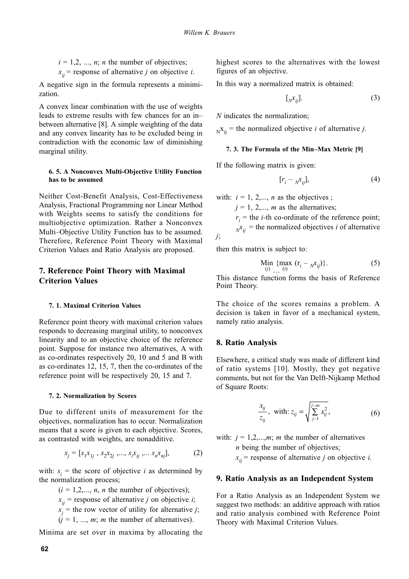$i = 1, 2, ..., n$ ; *n* the number of objectives;  $x_{ii}$  = response of alternative *j* on objective *i*.

A negative sign in the formula represents a minimization.

A convex linear combination with the use of weights leads to extreme results with few chances for an inbetween alternative [8]. A simple weighting of the data and any convex linearity has to be excluded being in contradiction with the economic law of diminishing marginal utility.

### 6. 5. A Nonconvex Multi-Objective Utility Function has to be assumed

Neither Cost-Benefit Analysis, Cost-Effectiveness Analysis, Fractional Programming nor Linear Method with Weights seems to satisfy the conditions for multiobjective optimization. Rather a Nonconvex Multi-Objective Utility Function has to be assumed. Therefore, Reference Point Theory with Maximal Criterion Values and Ratio Analysis are proposed.

## 7. Reference Point Theory with Maximal **Criterion Values**

### 7. 1. Maximal Criterion Values

Reference point theory with maximal criterion values responds to decreasing marginal utility, to nonconvex linearity and to an objective choice of the reference point. Suppose for instance two alternatives, A with as co-ordinates respectively 20, 10 and 5 and B with as co-ordinates 12, 15, 7, then the co-ordinates of the reference point will be respectively 20, 15 and 7.

#### 7. 2. Normalization by Scores

Due to different units of measurement for the objectives, normalization has to occur. Normalization means that a score is given to each objective. Scores, as contrasted with weights, are nonadditive.

$$
x_j = [s_1 x_{1j}, s_2 x_{2j}, \dots, s_i x_{ij}, \dots s_n x_{nj}], \tag{2}
$$

with:  $s_i$  = the score of objective *i* as determined by the normalization process;

> $(i = 1,2,..., n, n$  the number of objectives);  $x_{ii}$  = response of alternative *j* on objective *i*;  $x_i$  = the row vector of utility for alternative *j*;  $(i = 1, ..., m; m$  the number of alternatives).

Minima are set over in maxima by allocating the

highest scores to the alternatives with the lowest figures of an objective.

In this way a normalized matrix is obtained:

$$
[\,N_{ij}].\tag{3}
$$

 $N$  indicates the normalization:

 $_{N}x_{ii}$  = the normalized objective *i* of alternative *j*.

### 7. 3. The Formula of the Min-Max Metric [9]

If the following matrix is given:

$$
[r_i - {}_N x_{ij}], \tag{4}
$$

with:  $i = 1, 2,..., n$  as the objectives;

 $i = 1, 2, \dots, m$  as the alternatives;

 $r_i$  = the *i*-th co-ordinate of the reference point;  $x_{ii}$  = the normalized objectives *i* of alternative

then this matrix is subject to:

 $j;$ 

$$
\lim_{(i)} \{ \max_{(i)} (r_i - N_i x_{ij}) \}.
$$
 (5)

This distance function forms the basis of Reference Point Theory.

The choice of the scores remains a problem. A decision is taken in favor of a mechanical system, namely ratio analysis.

### 8. Ratio Analysis

Elsewhere, a critical study was made of different kind of ratio systems [10]. Mostly, they got negative comments, but not for the Van Delft-Nijkamp Method of Square Roots:

$$
\frac{x_{ij}}{z_{ij}}, \text{ with: } z_{ij} = \sqrt{\sum_{j=1}^{j-m} x_{ij}^2}, \tag{6}
$$

with:  $j = 1, 2, \dots, m$ ; *m* the number of alternatives  $n$  being the number of objectives;  $x_{ij}$  = response of alternative *j* on objective *i*.

## 9. Ratio Analysis as an Independent System

For a Ratio Analysis as an Independent System we suggest two methods: an additive approach with ratios and ratio analysis combined with Reference Point Theory with Maximal Criterion Values.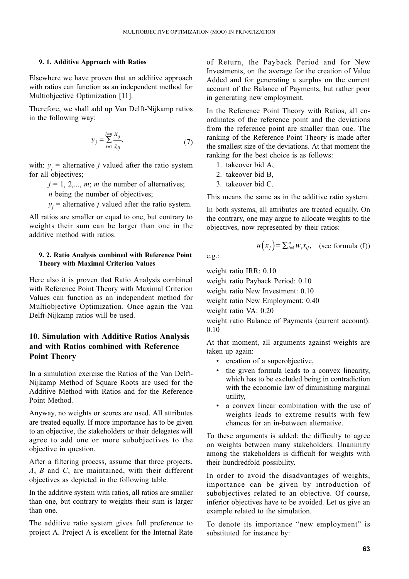#### 9. 1. Additive Approach with Ratios

Elsewhere we have proven that an additive approach with ratios can function as an independent method for Multiobjective Optimization [11].

Therefore, we shall add up Van Delft-Nijkamp ratios in the following way:

$$
y_j = \sum_{i=1}^{i=n} \frac{x_{ij}}{z_{ij}},\tag{7}
$$

with:  $y_i$  = alternative *j* valued after the ratio system for all objectives;

 $i = 1, 2, \dots, m$ ; *m* the number of alternatives;

 $n$  being the number of objectives;

 $y_i$  = alternative *j* valued after the ratio system.

All ratios are smaller or equal to one, but contrary to weights their sum can be larger than one in the additive method with ratios.

### 9. 2. Ratio Analysis combined with Reference Point **Theory with Maximal Criterion Values**

Here also it is proven that Ratio Analysis combined with Reference Point Theory with Maximal Criterion Values can function as an independent method for Multiobiective Optimization. Once again the Van Delft-Nijkamp ratios will be used.

# 10. Simulation with Additive Ratios Analysis and with Ratios combined with Reference **Point Theory**

In a simulation exercise the Ratios of the Van Delft-Nijkamp Method of Square Roots are used for the Additive Method with Ratios and for the Reference Point Method

Anyway, no weights or scores are used. All attributes are treated equally. If more importance has to be given to an objective, the stakeholders or their delegates will agree to add one or more subobjectives to the objective in question.

After a filtering process, assume that three projects, A, B and C, are maintained, with their different objectives as depicted in the following table.

In the additive system with ratios, all ratios are smaller than one, but contrary to weights their sum is larger than one.

The additive ratio system gives full preference to project A. Project A is excellent for the Internal Rate of Return, the Payback Period and for New Investments, on the average for the creation of Value Added and for generating a surplus on the current account of the Balance of Payments, but rather poor in generating new employment.

In the Reference Point Theory with Ratios, all coordinates of the reference point and the deviations from the reference point are smaller than one. The ranking of the Reference Point Theory is made after the smallest size of the deviations. At that moment the ranking for the best choice is as follows:

- 1. takeover bid A.
- 2. takeover bid B,
- 3. takeover bid C.

This means the same as in the additive ratio system.

In both systems, all attributes are treated equally. On the contrary, one may argue to allocate weights to the objectives, now represented by their ratios:

$$
u(x_j) = \sum_{i=1}^n w_i x_{ij}, \quad \text{(see formula (I))}
$$

 $e.g.:$ 

weight ratio IRR: 0.10

weight ratio Payback Period: 0.10

weight ratio New Investment: 0.10

weight ratio New Employment: 0.40

weight ratio VA: 0.20

weight ratio Balance of Payments (current account):  $0.10$ 

At that moment, all arguments against weights are taken up again:

- creation of a superobjective,
- the given formula leads to a convex linearity, which has to be excluded being in contradiction with the economic law of diminishing marginal utility.
- a convex linear combination with the use of weights leads to extreme results with few chances for an in-between alternative.

To these arguments is added: the difficulty to agree on weights between many stakeholders. Unanimity among the stakeholders is difficult for weights with their hundredfold possibility.

In order to avoid the disadvantages of weights, importance can be given by introduction of subobjectives related to an objective. Of course, inferior objectives have to be avoided. Let us give an example related to the simulation.

To denote its importance "new employment" is substituted for instance by: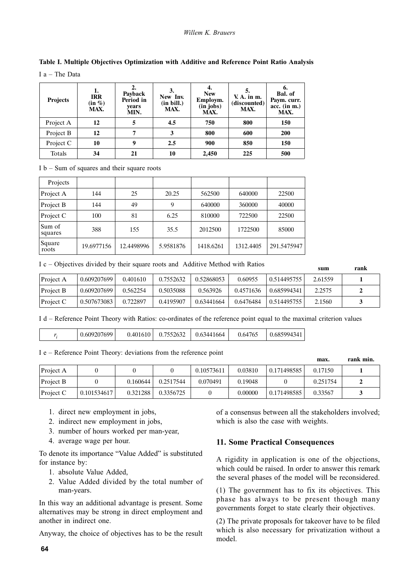### Willem K. Brauers

| <b>Projects</b> | 1.<br><b>IRR</b><br>$(in \%)$<br>MAX. | $\overline{2}$ .<br>Payback<br>Period in<br>vears<br>MIN. | New Inv.<br>(in bill.)<br>MAX. | 4.<br><b>New</b><br>Employm.<br>$(in$ jobs)<br>MAX. | $V. A.$ in $m.$<br>(discounted)<br>MAX. | 6.<br>Bal. of<br>Paym. curr.<br>$acc.$ (in $m$ .)<br>MAX. |
|-----------------|---------------------------------------|-----------------------------------------------------------|--------------------------------|-----------------------------------------------------|-----------------------------------------|-----------------------------------------------------------|
| Project A       | 12                                    | 5                                                         | 4.5                            | 750                                                 | 800                                     | 150                                                       |
| Project B       | 12                                    |                                                           |                                | 800                                                 | 600                                     | <b>200</b>                                                |
| Project C       | 10                                    | 9                                                         | 2.5                            | 900                                                 | 850                                     | 150                                                       |
| Totals          | 34                                    | 21                                                        | 10                             | 2,450                                               | 225                                     | 500                                                       |

# Table I. Multiple Objectives Optimization with Additive and Reference Point Ratio Analysis

 $I_a$  = The Data

### $I b - Sum of squares and their square roots$

| Projects          |            |            |           |           |           |             |
|-------------------|------------|------------|-----------|-----------|-----------|-------------|
| Project A         | 144        | 25         | 20.25     | 562500    | 640000    | 22500       |
| Project B         | 144        | 49         | 9         | 640000    | 360000    | 40000       |
| Project C         | 100        | 81         | 6.25      | 810000    | 722500    | 22500       |
| Sum of<br>squares | 388        | 155        | 35.5      | 2012500   | 1722500   | 85000       |
| Square<br>roots   | 19.6977156 | 12.4498996 | 5.9581876 | 1418.6261 | 1312.4405 | 291.5475947 |

I c – Objectives divided by their square roots and Additive Method with Ratios

|           |             |          |           |            |           |             | sum     | гапк |  |
|-----------|-------------|----------|-----------|------------|-----------|-------------|---------|------|--|
| Project A | 0.609207699 | 0.401610 | 0.7552632 | 0.52868053 | 0.60955   | 0.514495755 | 2.61559 |      |  |
| Project B | 0.609207699 | 0.562254 | 0.5035088 | 0.563926   | 0.4571636 | 0.685994341 | 2.2575  |      |  |
| Project C | 0.507673083 | 0.722897 | 0.4195907 | 0.63441664 | 0.6476484 | 0.514495755 | 2.1560  |      |  |

I d – Reference Point Theory with Ratios: co-ordinates of the reference point equal to the maximal criterion values

| 0.7552632<br>0.609207699<br>0.685994341<br>0.64765<br>0.401610<br>0.63441664 |  |
|------------------------------------------------------------------------------|--|
|------------------------------------------------------------------------------|--|

I e – Reference Point Theory: deviations from the reference point

|           |             |          |           |            |         |             | max.     | rank min. |
|-----------|-------------|----------|-----------|------------|---------|-------------|----------|-----------|
| Project A |             |          |           | 0.10573611 | 0.03810 | 0.171498585 | 0.17150  |           |
| Project B |             | 0.160644 | 0.2517544 | 0.070491   | 0.19048 |             | 0.251754 |           |
| Project C | 0.101534617 | 0.321288 | 0.3356725 |            | 0.00000 | 0.171498585 | 0.33567  |           |

- 1. direct new employment in jobs,
- 2. indirect new employment in jobs,
- 3. number of hours worked per man-year,
- 4. average wage per hour.

To denote its importance "Value Added" is substituted for instance by:

- 1. absolute Value Added.
- 2. Value Added divided by the total number of man-years.

In this way an additional advantage is present. Some alternatives may be strong in direct employment and another in indirect one.

Anyway, the choice of objectives has to be the result

of a consensus between all the stakeholders involved; which is also the case with weights.

# 11. Some Practical Consequences

A rigidity in application is one of the objections, which could be raised. In order to answer this remark the several phases of the model will be reconsidered.

(1) The government has to fix its objectives. This phase has always to be present though many governments forget to state clearly their objectives.

(2) The private proposals for takeover have to be filed which is also necessary for privatization without a model.